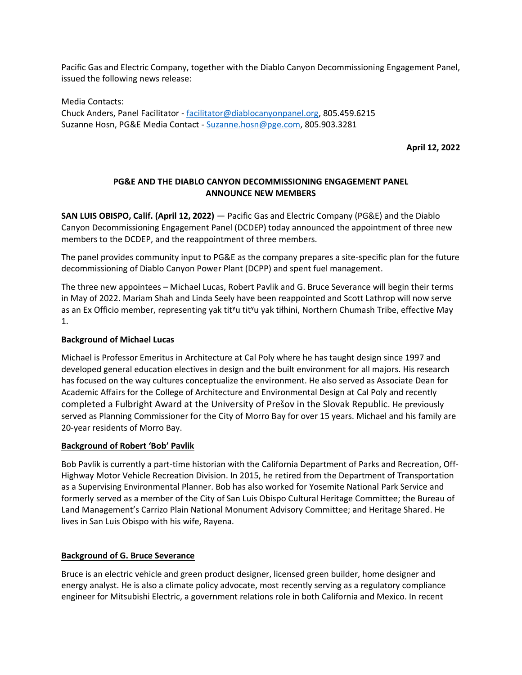Pacific Gas and Electric Company, together with the Diablo Canyon Decommissioning Engagement Panel, issued the following news release:

Media Contacts: Chuck Anders, Panel Facilitator - [facilitator@diablocanyonpanel.org,](mailto:facilitator@diablocanyonpanel.org) 805.459.6215 Suzanne Hosn, PG&E Media Contact - [Suzanne.hosn@pge.com,](mailto:Suzanne.hosn@pge.com) 805.903.3281

**April 12, 2022**

# **PG&E AND THE DIABLO CANYON DECOMMISSIONING ENGAGEMENT PANEL ANNOUNCE NEW MEMBERS**

**SAN LUIS OBISPO, Calif. (April 12, 2022)** — Pacific Gas and Electric Company (PG&E) and the Diablo Canyon Decommissioning Engagement Panel (DCDEP) today announced the appointment of three new members to the DCDEP, and the reappointment of three members.

The panel provides community input to PG&E as the company prepares a site-specific plan for the future decommissioning of Diablo Canyon Power Plant (DCPP) and spent fuel management.

The three new appointees – Michael Lucas, Robert Pavlik and G. Bruce Severance will begin their terms in May of 2022. Mariam Shah and Linda Seely have been reappointed and Scott Lathrop will now serve as an Ex Officio member, representing yak tit<sup>y</sup>u tit<sup>y</sup>u yak tiłhini, Northern Chumash Tribe, effective May 1.

## **Background of Michael Lucas**

Michael is Professor Emeritus in Architecture at Cal Poly where he has taught design since 1997 and developed general education electives in design and the built environment for all majors. His research has focused on the way cultures conceptualize the environment. He also served as Associate Dean for Academic Affairs for the College of Architecture and Environmental Design at Cal Poly and recently completed a Fulbright Award at the University of Prešov in the Slovak Republic. He previously served as Planning Commissioner for the City of Morro Bay for over 15 years. Michael and his family are 20-year residents of Morro Bay.

### **Background of Robert 'Bob' Pavlik**

Bob Pavlik is currently a part-time historian with the California Department of Parks and Recreation, Off-Highway Motor Vehicle Recreation Division. In 2015, he retired from the Department of Transportation as a Supervising Environmental Planner. Bob has also worked for Yosemite National Park Service and formerly served as a member of the City of San Luis Obispo Cultural Heritage Committee; the Bureau of Land Management's Carrizo Plain National Monument Advisory Committee; and Heritage Shared. He lives in San Luis Obispo with his wife, Rayena.

### **Background of G. Bruce Severance**

Bruce is an electric vehicle and green product designer, licensed green builder, home designer and energy analyst. He is also a climate policy advocate, most recently serving as a regulatory compliance engineer for Mitsubishi Electric, a government relations role in both California and Mexico. In recent